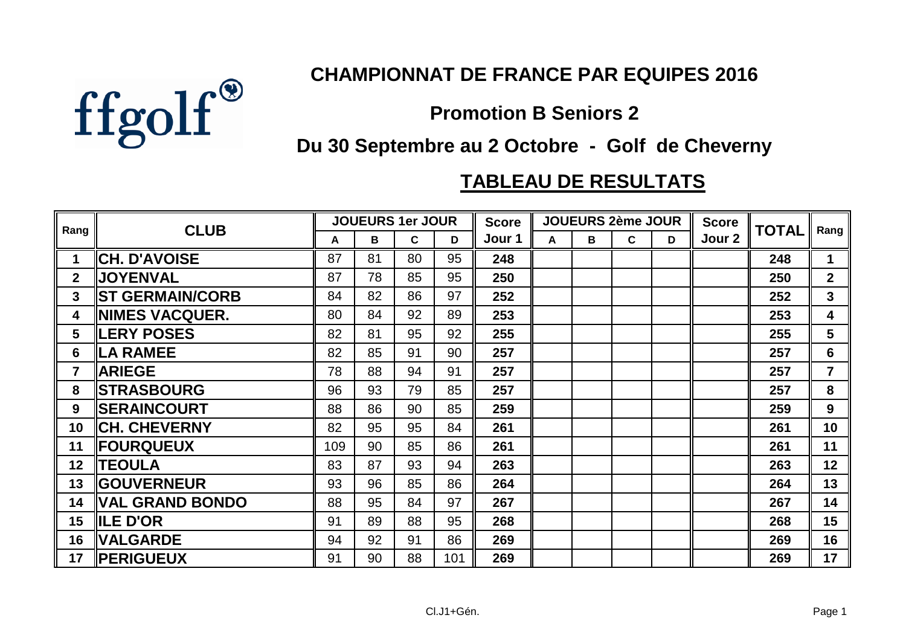

## **CHAMPIONNAT DE FRANCE PAR EQUIPES 2016**

## **Promotion B Seniors 2**

## **Du 30 Septembre au 2 Octobre - Golf de Cheverny**

## **TABLEAU DE RESULTATS**

| Rang            | <b>CLUB</b>             | <b>JOUEURS 1er JOUR</b> |    |    |     | <b>Score</b> | <b>JOUEURS 2ème JOUR</b> |   |   |   | <b>Score</b> | <b>TOTAL</b> | <b>Rang</b>             |
|-----------------|-------------------------|-------------------------|----|----|-----|--------------|--------------------------|---|---|---|--------------|--------------|-------------------------|
|                 |                         | A                       | B  | C. | D   | Jour 1       | A                        | В | C | D | Jour 2       |              |                         |
| $\mathbf 1$     | <b>CH. D'AVOISE</b>     | 87                      | 81 | 80 | 95  | 248          |                          |   |   |   |              | 248          | $\mathbf 1$             |
| 2 <sup>1</sup>  | <b>  JOYENVAL</b>       | 87                      | 78 | 85 | 95  | 250          |                          |   |   |   |              | 250          | 2 <sup>1</sup>          |
| 3 <sup>1</sup>  | <b>IST GERMAIN/CORB</b> | 84                      | 82 | 86 | 97  | 252          |                          |   |   |   |              | 252          | 3 <sup>1</sup>          |
| 4               | <b>INIMES VACQUER.</b>  | 80                      | 84 | 92 | 89  | 253          |                          |   |   |   |              | 253          | $\overline{\mathbf{4}}$ |
| 5               | <b>ILERY POSES</b>      | 82                      | 81 | 95 | 92  | 255          |                          |   |   |   |              | 255          | 5                       |
| 6               | <b>LA RAMEE</b>         | 82                      | 85 | 91 | 90  | 257          |                          |   |   |   |              | 257          | $6\phantom{1}$          |
| $\overline{7}$  | <b>ARIEGE</b>           | 78                      | 88 | 94 | 91  | 257          |                          |   |   |   |              | 257          | $\overline{7}$          |
| 8               | <b>ISTRASBOURG</b>      | 96                      | 93 | 79 | 85  | 257          |                          |   |   |   |              | 257          | 8                       |
| 9               | <b>ISERAINCOURT</b>     | 88                      | 86 | 90 | 85  | 259          |                          |   |   |   |              | 259          | 9                       |
| 10 <sup>°</sup> | <b>CH. CHEVERNY</b>     | 82                      | 95 | 95 | 84  | 261          |                          |   |   |   |              | 261          | 10                      |
| 11              | <b>FOURQUEUX</b>        | 109                     | 90 | 85 | 86  | 261          |                          |   |   |   |              | 261          | 11                      |
| 12 <sub>2</sub> | <b>  TEOULA</b>         | 83                      | 87 | 93 | 94  | 263          |                          |   |   |   |              | 263          | 12                      |
| 13              | <b>IGOUVERNEUR</b>      | 93                      | 96 | 85 | 86  | 264          |                          |   |   |   |              | 264          | 13                      |
| 14              | VAL GRAND BONDO         | 88                      | 95 | 84 | 97  | 267          |                          |   |   |   |              | 267          | 14                      |
| 15              | <b>IILE D'OR</b>        | 91                      | 89 | 88 | 95  | 268          |                          |   |   |   |              | 268          | 15                      |
| 16              | <b>VALGARDE</b>         | 94                      | 92 | 91 | 86  | 269          |                          |   |   |   |              | 269          | 16                      |
| 17              | <b>IPERIGUEUX</b>       | 91                      | 90 | 88 | 101 | 269          |                          |   |   |   |              | 269          | 17                      |